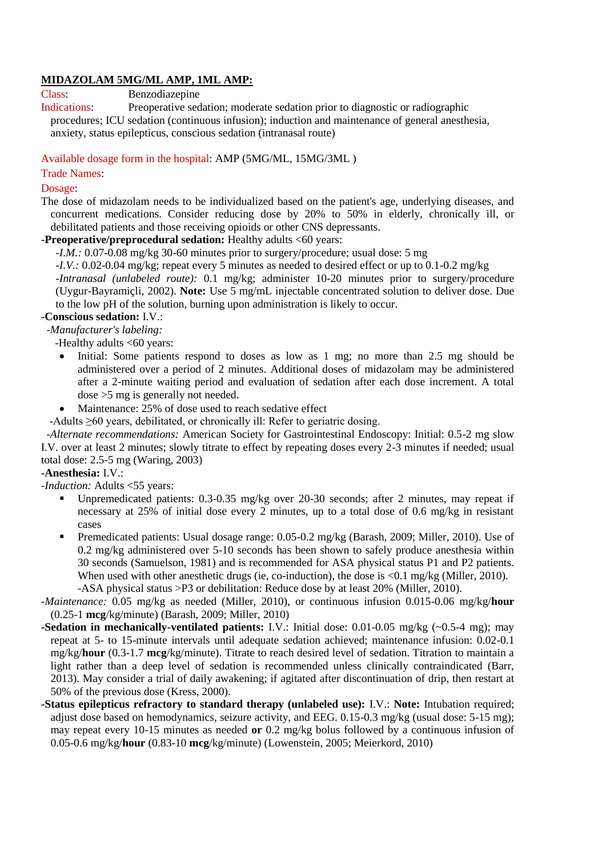### **MIDAZOLAM 5MG/ML AMP, 1ML AMP:**

Class: Benzodiazepine

Indications: Preoperative sedation; moderate sedation prior to diagnostic or radiographic procedures; ICU sedation (continuous infusion); induction and maintenance of general anesthesia, anxiety, status epilepticus, conscious sedation (intranasal route)

Available dosage form in the hospital: AMP (5MG/ML, 15MG/3ML )

### Trade Names:

#### Dosage:

The dose of midazolam needs to be individualized based on the patient's age, underlying diseases, and concurrent medications. Consider reducing dose by 20% to 50% in elderly, chronically ill, or debilitated patients and those receiving opioids or other CNS depressants.

**-Preoperative/preprocedural sedation:** Healthy adults <60 years:

*-I.M.:* 0.07-0.08 mg/kg 30-60 minutes prior to surgery/procedure; usual dose: 5 mg

*I.V.:* 0.02-0.04 mg/kg; repeat every 5 minutes as needed to desired effect or up to 0.1-0.2 mg/kg *-Intranasal (unlabeled route):* 0.1 mg/kg; administer 10-20 minutes prior to surgery/procedure (Uygur-Bayramiçli, 2002). **Note:** Use 5 mg/mL injectable concentrated solution to deliver dose. Due

to the low pH of the solution, burning upon administration is likely to occur.

# **-Conscious sedation:** I.V.:

-*Manufacturer's labeling:*

-Healthy adults <60 years:

- Initial: Some patients respond to doses as low as 1 mg; no more than 2.5 mg should be administered over a period of 2 minutes. Additional doses of midazolam may be administered after a 2-minute waiting period and evaluation of sedation after each dose increment. A total dose >5 mg is generally not needed.
- Maintenance: 25% of dose used to reach sedative effect

-Adults ≥60 years, debilitated, or chronically ill: Refer to geriatric dosing.

 -*Alternate recommendations:* American Society for Gastrointestinal Endoscopy: Initial: 0.5-2 mg slow I.V. over at least 2 minutes; slowly titrate to effect by repeating doses every 2-3 minutes if needed; usual total dose: 2.5-5 mg (Waring, 2003)

## **-Anesthesia:** I.V.:

*-Induction:* Adults <55 years:

- Unpremedicated patients: 0.3-0.35 mg/kg over 20-30 seconds; after 2 minutes, may repeat if necessary at 25% of initial dose every 2 minutes, up to a total dose of 0.6 mg/kg in resistant cases
- **Premedicated patients: Usual dosage range: 0.05-0.2 mg/kg (Barash, 2009; Miller, 2010). Use of** 0.2 mg/kg administered over 5-10 seconds has been shown to safely produce anesthesia within 30 seconds (Samuelson, 1981) and is recommended for ASA physical status P1 and P2 patients. When used with other anesthetic drugs (ie, co-induction), the dose is  $\langle 0.1 \text{ mg/kg (Miller, 2010)} \rangle$ . -ASA physical status >P3 or debilitation: Reduce dose by at least 20% (Miller, 2010).

*-Maintenance:* 0.05 mg/kg as needed (Miller, 2010), or continuous infusion 0.015-0.06 mg/kg/**hour** (0.25-1 **mcg**/kg/minute) (Barash, 2009; Miller, 2010)

- **-Sedation in mechanically-ventilated patients:** I.V.: Initial dose: 0.01-0.05 mg/kg (~0.5-4 mg); may repeat at 5- to 15-minute intervals until adequate sedation achieved; maintenance infusion: 0.02-0.1 mg/kg/**hour** (0.3-1.7 **mcg**/kg/minute). Titrate to reach desired level of sedation. Titration to maintain a light rather than a deep level of sedation is recommended unless clinically contraindicated (Barr, 2013). May consider a trial of daily awakening; if agitated after discontinuation of drip, then restart at 50% of the previous dose (Kress, 2000).
- **-Status epilepticus refractory to standard therapy (unlabeled use):** I.V.: **Note:** Intubation required; adjust dose based on hemodynamics, seizure activity, and EEG. 0.15-0.3 mg/kg (usual dose: 5-15 mg); may repeat every 10-15 minutes as needed **or** 0.2 mg/kg bolus followed by a continuous infusion of 0.05-0.6 mg/kg/**hour** (0.83-10 **mcg**/kg/minute) (Lowenstein, 2005; Meierkord, 2010)